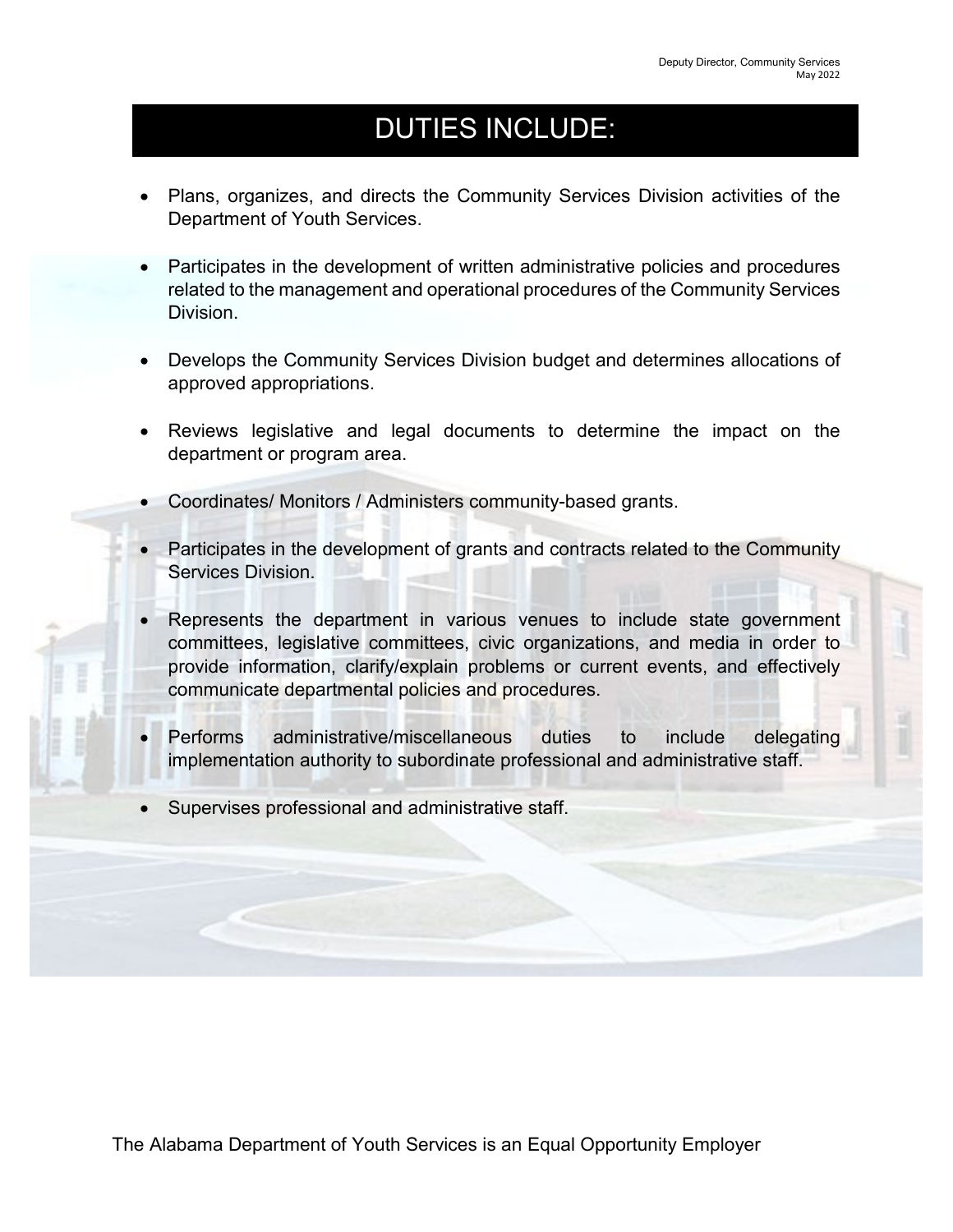## DUTIES INCLUDE:

- Plans, organizes, and directs the Community Services Division activities of the Department of Youth Services.
- Participates in the development of written administrative policies and procedures related to the management and operational procedures of the Community Services Division.
- Develops the Community Services Division budget and determines allocations of approved appropriations.
- Reviews legislative and legal documents to determine the impact on the department or program area.
- Coordinates/ Monitors / Administers community-based grants.
- Participates in the development of grants and contracts related to the Community Services Division.
- Represents the department in various venues to include state government committees, legislative committees, civic organizations, and media in order to provide information, clarify/explain problems or current events, and effectively communicate departmental policies and procedures.
- Performs administrative/miscellaneous duties to include delegating implementation authority to subordinate professional and administrative staff.
- Supervises professional and administrative staff.